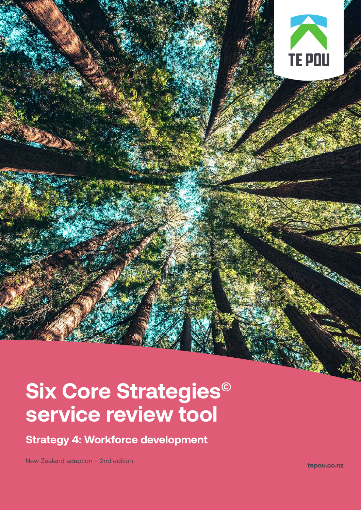# **TE POU**

# **Six Core Strategies© service review tool**

**Strategy 4: Workforce development** 

New Zealand adaption – 2nd edition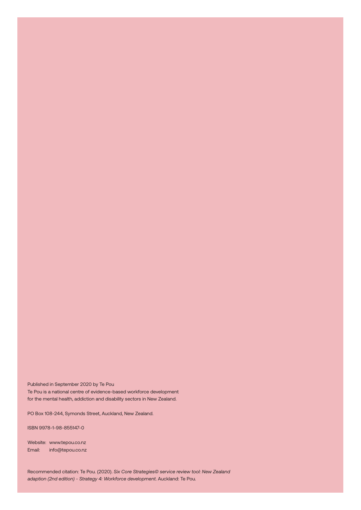Published in September 2020 by Te Pou Te Pou is a national centre of evidence-based workforce development for the mental health, addiction and disability sectors in New Zealand.

PO Box 108-244, Symonds Street, Auckland, New Zealand.

ISBN 9978-1-98-855147-0

Website: [www.tepou.co.nz](http://www.tepou.co.nz )  Email: [info@tepou.co.nz](mailto:info%40tepou.co.nz%20?subject=) 

Recommended citation: Te Pou. (2020). *Six Core Strategies© service review tool: New Zealand adaption (2nd edition) - Strategy 4: Workforce development*. Auckland: Te Pou.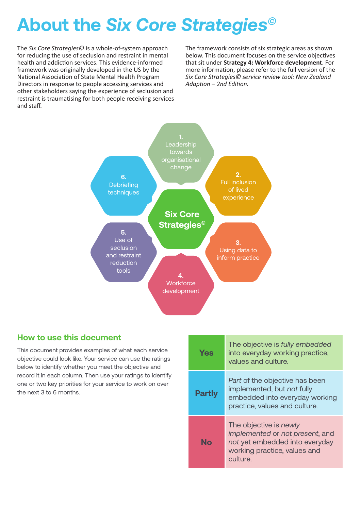# **About the** *Six Core Strategies©*

The *Six Core Strategies©* is a whole-of-system approach for reducing the use of seclusion and restraint in mental health and addiction services. This evidence-informed framework was originally developed in the US by the National Association of State Mental Health Program Directors in response to people accessing services and other stakeholders saying the experience of seclusion and restraint is traumatising for both people receiving services and staff.

The framework consists of six strategic areas as shown below. This document focuses on the service objectives that sit under **Strategy 4: Workforce development**. For more information, please refer to the full version of the *Six Core Strategies© service review tool: New Zealand Adaption – 2nd Edition.*



### **How to use this document**

This document provides examples of what each service objective could look like. Your service can use the ratings below to identify whether you meet the objective and record it in each column. Then use your ratings to identify **6.** one or two key priorities for your service to work on over the next 3 to 6 months.

| лісе<br>ings<br>ł.<br>entify<br>over | <b>Yes</b>    | The objective is fully embedded<br>into everyday working practice,<br>values and culture.                                               |
|--------------------------------------|---------------|-----------------------------------------------------------------------------------------------------------------------------------------|
|                                      | <b>Partly</b> | Part of the objective has been<br>implemented, but not fully<br>embedded into everyday working<br>practice, values and culture.         |
|                                      | <b>No</b>     | The objective is newly<br>implemented or not present, and<br>not yet embedded into everyday<br>working practice, values and<br>culture. |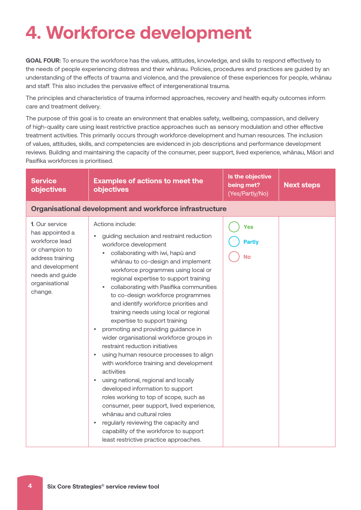# **4. Workforce development**

**GOAL FOUR:** To ensure the workforce has the values, attitudes, knowledge, and skills to respond effectively to the needs of people experiencing distress and their whānau. Policies, procedures and practices are guided by an understanding of the effects of trauma and violence, and the prevalence of these experiences for people, whānau and staff. This also includes the pervasive effect of intergenerational trauma.

The principles and characteristics of trauma informed approaches, recovery and health equity outcomes inform care and treatment delivery.

The purpose of this goal is to create an environment that enables safety, wellbeing, compassion, and delivery of high-quality care using least restrictive practice approaches such as sensory modulation and other effective treatment activities. This primarily occurs through workforce development and human resources. The inclusion of values, attitudes, skills, and competencies are evidenced in job descriptions and performance development reviews. Building and maintaining the capacity of the consumer, peer support, lived experience, whānau, Māori and Pasifika workforces is prioritised.

| <b>Service</b><br>objectives                                                                                                                                 | <b>Examples of actions to meet the</b><br>objectives                                                                                                                                                                                                                                                                                                                                                                                                                                                                                                                                                                                                                                                                                                                                                                                                                                                                                                                                                                                      | Is the objective<br>being met?<br>(Yes/Partly/No) | <b>Next steps</b> |
|--------------------------------------------------------------------------------------------------------------------------------------------------------------|-------------------------------------------------------------------------------------------------------------------------------------------------------------------------------------------------------------------------------------------------------------------------------------------------------------------------------------------------------------------------------------------------------------------------------------------------------------------------------------------------------------------------------------------------------------------------------------------------------------------------------------------------------------------------------------------------------------------------------------------------------------------------------------------------------------------------------------------------------------------------------------------------------------------------------------------------------------------------------------------------------------------------------------------|---------------------------------------------------|-------------------|
|                                                                                                                                                              | <b>Organisational development and workforce infrastructure</b>                                                                                                                                                                                                                                                                                                                                                                                                                                                                                                                                                                                                                                                                                                                                                                                                                                                                                                                                                                            |                                                   |                   |
| 1. Our service<br>has appointed a<br>workforce lead<br>or champion to<br>address training<br>and development<br>needs and guide<br>organisational<br>change. | Actions include:<br>guiding seclusion and restraint reduction<br>workforce development<br>collaborating with iwi, hapū and<br>whānau to co-design and implement<br>workforce programmes using local or<br>regional expertise to support training<br>collaborating with Pasifika communities<br>to co-design workforce programmes<br>and identify workforce priorities and<br>training needs using local or regional<br>expertise to support training<br>promoting and providing guidance in<br>$\bullet$<br>wider organisational workforce groups in<br>restraint reduction initiatives<br>using human resource processes to align<br>٠<br>with workforce training and development<br>activities<br>using national, regional and locally<br>developed information to support<br>roles working to top of scope, such as<br>consumer, peer support, lived experience,<br>whānau and cultural roles<br>regularly reviewing the capacity and<br>$\bullet$<br>capability of the workforce to support<br>least restrictive practice approaches. | <b>Yes</b><br><b>Partly</b><br>No                 |                   |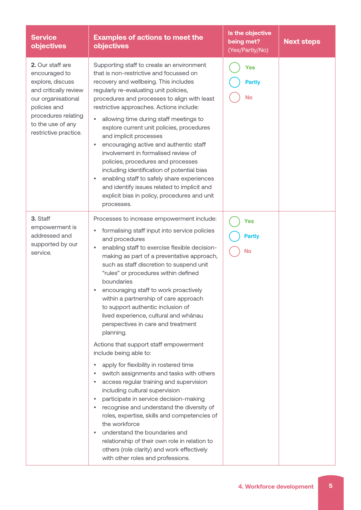| <b>Service</b><br>objectives                                                                                                                                                              | <b>Examples of actions to meet the</b><br><b>objectives</b>                                                                                                                                                                                                                                                                                                                                                                                                                                                                                                                                                                                                                                                                            | Is the objective<br>being met?<br>(Yes/Partly/No) | <b>Next steps</b> |
|-------------------------------------------------------------------------------------------------------------------------------------------------------------------------------------------|----------------------------------------------------------------------------------------------------------------------------------------------------------------------------------------------------------------------------------------------------------------------------------------------------------------------------------------------------------------------------------------------------------------------------------------------------------------------------------------------------------------------------------------------------------------------------------------------------------------------------------------------------------------------------------------------------------------------------------------|---------------------------------------------------|-------------------|
| 2. Our staff are<br>encouraged to<br>explore, discuss<br>and critically review<br>our organisational<br>policies and<br>procedures relating<br>to the use of any<br>restrictive practice. | Supporting staff to create an environment<br>that is non-restrictive and focussed on<br>recovery and wellbeing. This includes<br>regularly re-evaluating unit policies,<br>procedures and processes to align with least<br>restrictive approaches. Actions include:<br>allowing time during staff meetings to<br>explore current unit policies, procedures<br>and implicit processes<br>encouraging active and authentic staff<br>٠<br>involvement in formalised review of<br>policies, procedures and processes<br>including identification of potential bias<br>enabling staff to safely share experiences<br>$\bullet$<br>and identify issues related to implicit and<br>explicit bias in policy, procedures and unit<br>processes. | <b>Yes</b><br><b>Partly</b><br><b>No</b>          |                   |
| 3. Staff<br>empowerment is<br>addressed and<br>supported by our<br>service.                                                                                                               | Processes to increase empowerment include:<br>formalising staff input into service policies<br>and procedures<br>enabling staff to exercise flexible decision-<br>٠<br>making as part of a preventative approach,<br>such as staff discretion to suspend unit<br>"rules" or procedures within defined<br>boundaries<br>encouraging staff to work proactively<br>within a partnership of care approach<br>to support authentic inclusion of<br>lived experience, cultural and whānau<br>perspectives in care and treatment<br>planning.                                                                                                                                                                                                 | <b>Yes</b><br><b>Partly</b><br><b>No</b>          |                   |
|                                                                                                                                                                                           | Actions that support staff empowerment<br>include being able to:<br>apply for flexibility in rostered time<br>switch assignments and tasks with others<br>access regular training and supervision<br>including cultural supervision<br>participate in service decision-making<br>٠<br>recognise and understand the diversity of<br>roles, expertise, skills and competencies of<br>the workforce<br>understand the boundaries and<br>relationship of their own role in relation to<br>others (role clarity) and work effectively<br>with other roles and professions.                                                                                                                                                                  |                                                   |                   |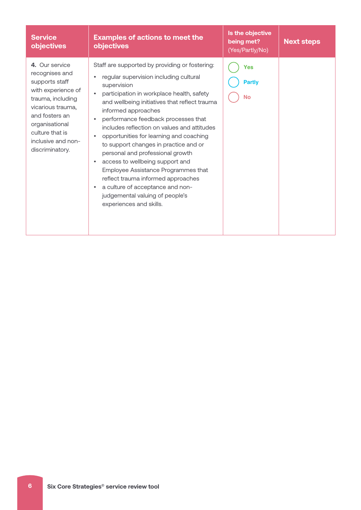| <b>Service</b><br>objectives                                                                                                                                                                                       | <b>Examples of actions to meet the</b><br><b>objectives</b>                                                                                                                                                                                                                                                                                                                                                                                                                                                                                                                                                                                                                                                                                | Is the objective<br>being met?<br>(Yes/Partly/No) | <b>Next steps</b> |
|--------------------------------------------------------------------------------------------------------------------------------------------------------------------------------------------------------------------|--------------------------------------------------------------------------------------------------------------------------------------------------------------------------------------------------------------------------------------------------------------------------------------------------------------------------------------------------------------------------------------------------------------------------------------------------------------------------------------------------------------------------------------------------------------------------------------------------------------------------------------------------------------------------------------------------------------------------------------------|---------------------------------------------------|-------------------|
| 4. Our service<br>recognises and<br>supports staff<br>with experience of<br>trauma, including<br>vicarious trauma,<br>and fosters an<br>organisational<br>culture that is<br>inclusive and non-<br>discriminatory. | Staff are supported by providing or fostering:<br>regular supervision including cultural<br>$\bullet$<br>supervision<br>participation in workplace health, safety<br>$\bullet$<br>and wellbeing initiatives that reflect trauma<br>informed approaches<br>performance feedback processes that<br>$\bullet$<br>includes reflection on values and attitudes<br>opportunities for learning and coaching<br>$\bullet$<br>to support changes in practice and or<br>personal and professional growth<br>access to wellbeing support and<br>$\bullet$<br>Employee Assistance Programmes that<br>reflect trauma informed approaches<br>a culture of acceptance and non-<br>$\bullet$<br>judgemental valuing of people's<br>experiences and skills. | <b>Yes</b><br><b>Partly</b><br><b>No</b>          |                   |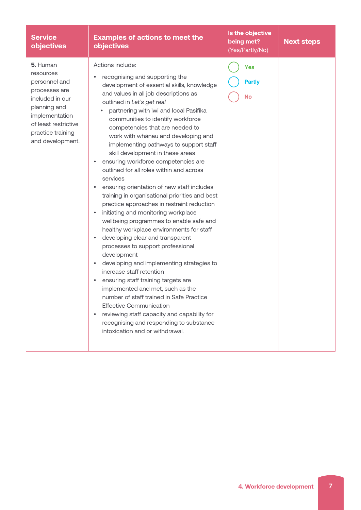| <b>Service</b><br>objectives                                                                                                                                                  | <b>Examples of actions to meet the</b><br><b>objectives</b>                                                                                                                                                                                                                                                                                                                                                                                                                                                                                                                                                                                                                                                                                                                                                                                                                                                                                                                                                                                                                                                                                                                                                                                                                                                                    | Is the objective<br>being met?<br>(Yes/Partly/No) | <b>Next steps</b> |
|-------------------------------------------------------------------------------------------------------------------------------------------------------------------------------|--------------------------------------------------------------------------------------------------------------------------------------------------------------------------------------------------------------------------------------------------------------------------------------------------------------------------------------------------------------------------------------------------------------------------------------------------------------------------------------------------------------------------------------------------------------------------------------------------------------------------------------------------------------------------------------------------------------------------------------------------------------------------------------------------------------------------------------------------------------------------------------------------------------------------------------------------------------------------------------------------------------------------------------------------------------------------------------------------------------------------------------------------------------------------------------------------------------------------------------------------------------------------------------------------------------------------------|---------------------------------------------------|-------------------|
| 5. Human<br>resources<br>personnel and<br>processes are<br>included in our<br>planning and<br>implementation<br>of least restrictive<br>practice training<br>and development. | Actions include:<br>recognising and supporting the<br>development of essential skills, knowledge<br>and values in all job descriptions as<br>outlined in Let's get real<br>partnering with iwi and local Pasifika<br>communities to identify workforce<br>competencies that are needed to<br>work with whānau and developing and<br>implementing pathways to support staff<br>skill development in these areas<br>ensuring workforce competencies are<br>$\bullet$<br>outlined for all roles within and across<br>services<br>ensuring orientation of new staff includes<br>training in organisational priorities and best<br>practice approaches in restraint reduction<br>initiating and monitoring workplace<br>$\bullet$<br>wellbeing programmes to enable safe and<br>healthy workplace environments for staff<br>developing clear and transparent<br>$\bullet$<br>processes to support professional<br>development<br>developing and implementing strategies to<br>$\bullet$<br>increase staff retention<br>ensuring staff training targets are<br>$\bullet$<br>implemented and met, such as the<br>number of staff trained in Safe Practice<br><b>Effective Communication</b><br>reviewing staff capacity and capability for<br>$\bullet$<br>recognising and responding to substance<br>intoxication and or withdrawal. | <b>Yes</b><br><b>Partly</b><br><b>No</b>          |                   |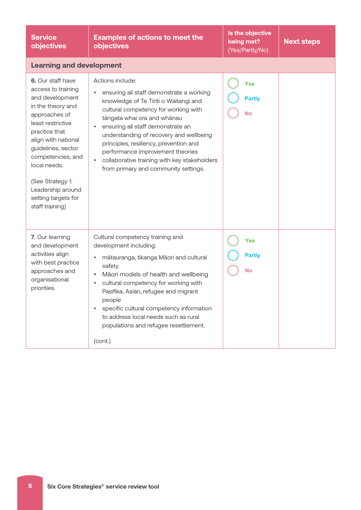| <b>Service</b><br>objectives                                                                                                                                                                                                                                                                                | <b>Examples of actions to meet the</b><br><b>objectives</b>                                                                                                                                                                                                                                                                                                                                                                                                       | Is the objective<br>being met?<br>(Yes/Partly/No) | <b>Next steps</b> |
|-------------------------------------------------------------------------------------------------------------------------------------------------------------------------------------------------------------------------------------------------------------------------------------------------------------|-------------------------------------------------------------------------------------------------------------------------------------------------------------------------------------------------------------------------------------------------------------------------------------------------------------------------------------------------------------------------------------------------------------------------------------------------------------------|---------------------------------------------------|-------------------|
| <b>Learning and development</b>                                                                                                                                                                                                                                                                             |                                                                                                                                                                                                                                                                                                                                                                                                                                                                   |                                                   |                   |
| 6. Our staff have<br>access to training<br>and development<br>in the theory and<br>approaches of<br>least restrictive<br>practice that<br>align with national<br>guidelines, sector<br>competencies, and<br>local needs.<br>(See Strategy 1:<br>Leadership around<br>setting targets for<br>staff training) | Actions include:<br>ensuring all staff demonstrate a working<br>٠<br>knowledge of Te Tiriti o Waitangi and<br>cultural competency for working with<br>tāngata whai ora and whānau<br>ensuring all staff demonstrate an<br>$\bullet$<br>understanding of recovery and wellbeing<br>principles, resiliency, prevention and<br>performance improvement theories<br>collaborative training with key stakeholders<br>$\bullet$<br>from primary and community settings. | <b>Yes</b><br><b>Partly</b><br><b>No</b>          |                   |
| 7. Our learning<br>and development<br>activities align<br>with best practice<br>approaches and<br>organisational<br>priorities.                                                                                                                                                                             | Cultural competency training and<br>development including:<br>mātauranga, tikanga Māori and cultural<br>$\bullet$<br>safety<br>Māori models of health and wellbeing<br>$\bullet$<br>cultural competency for working with<br>$\bullet$<br>Pasifika, Asian, refugee and migrant<br>people<br>specific cultural competency information<br>$\bullet$<br>to address local needs such as rural<br>populations and refugee resettlement.<br>(cont.)                      | <b>Yes</b><br><b>Partly</b><br><b>No</b>          |                   |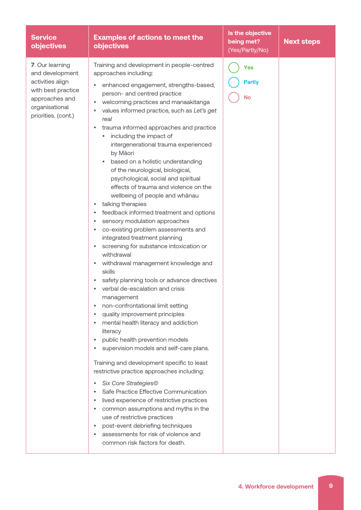| <b>Service</b><br>objectives                                                                                                            | <b>Examples of actions to meet the</b><br><b>objectives</b>                                                                                                                                                                                                                                                                                                                                                                                                                                                                                                                                                                                                                                                                                                                                                                                                                                                                                                                                                                                                                                                                                                                                                                                                                                                                                                                                                                                                                                                                                                                                                                                                                                                                                                                                    | Is the objective<br>being met?<br>(Yes/Partly/No) | <b>Next steps</b> |
|-----------------------------------------------------------------------------------------------------------------------------------------|------------------------------------------------------------------------------------------------------------------------------------------------------------------------------------------------------------------------------------------------------------------------------------------------------------------------------------------------------------------------------------------------------------------------------------------------------------------------------------------------------------------------------------------------------------------------------------------------------------------------------------------------------------------------------------------------------------------------------------------------------------------------------------------------------------------------------------------------------------------------------------------------------------------------------------------------------------------------------------------------------------------------------------------------------------------------------------------------------------------------------------------------------------------------------------------------------------------------------------------------------------------------------------------------------------------------------------------------------------------------------------------------------------------------------------------------------------------------------------------------------------------------------------------------------------------------------------------------------------------------------------------------------------------------------------------------------------------------------------------------------------------------------------------------|---------------------------------------------------|-------------------|
| 7. Our learning<br>and development<br>activities align<br>with best practice<br>approaches and<br>organisational<br>priorities. (cont.) | Training and development in people-centred<br>approaches including:<br>enhanced engagement, strengths-based,<br>٠<br>person- and centred practice<br>welcoming practices and manaakitanga<br>$\bullet$<br>values informed practice, such as Let's get<br>$\bullet$<br>real<br>trauma informed approaches and practice<br>٠<br>including the impact of<br>intergenerational trauma experienced<br>by Māori<br>based on a holistic understanding<br>of the neurological, biological,<br>psychological, social and spiritual<br>effects of trauma and violence on the<br>wellbeing of people and whanau<br>talking therapies<br>$\bullet$<br>feedback informed treatment and options<br>$\bullet$<br>sensory modulation approaches<br>$\bullet$<br>co-existing problem assessments and<br>٠<br>integrated treatment planning<br>screening for substance intoxication or<br>٠<br>withdrawal<br>withdrawal management knowledge and<br>٠<br>skills<br>safety planning tools or advance directives<br>$\bullet$<br>verbal de-escalation and crisis<br>٠<br>management<br>non-confrontational limit setting<br>$\bullet$<br>quality improvement principles<br>$\bullet$<br>mental health literacy and addiction<br>$\bullet$<br>literacy<br>public health prevention models<br>٠<br>supervision models and self-care plans.<br>٠<br>Training and development specific to least<br>restrictive practice approaches including:<br>Six Core Strategies©<br>٠<br>Safe Practice Effective Communication<br>$\bullet$<br>lived experience of restrictive practices<br>$\bullet$<br>common assumptions and myths in the<br>$\bullet$<br>use of restrictive practices<br>post-event debriefing techniques<br>$\bullet$<br>assessments for risk of violence and<br>$\bullet$<br>common risk factors for death. | <b>Yes</b><br><b>Partly</b><br><b>No</b>          |                   |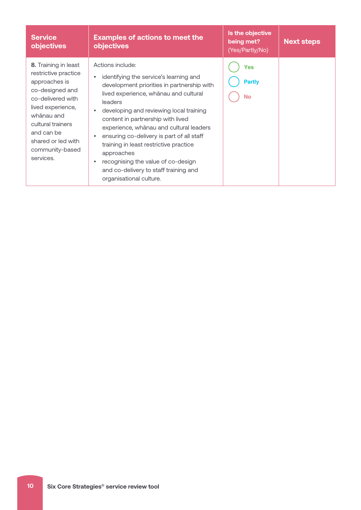| <b>Service</b><br>objectives                                                                                                                                                                                                      | <b>Examples of actions to meet the</b><br>objectives                                                                                                                                                                                                                                                                                                                                                                                                                                                                                       | Is the objective<br>being met?<br>(Yes/Partly/No) | <b>Next steps</b> |
|-----------------------------------------------------------------------------------------------------------------------------------------------------------------------------------------------------------------------------------|--------------------------------------------------------------------------------------------------------------------------------------------------------------------------------------------------------------------------------------------------------------------------------------------------------------------------------------------------------------------------------------------------------------------------------------------------------------------------------------------------------------------------------------------|---------------------------------------------------|-------------------|
| 8. Training in least<br>restrictive practice<br>approaches is<br>co-designed and<br>co-delivered with<br>lived experience,<br>whānau and<br>cultural trainers<br>and can be<br>shared or led with<br>community-based<br>services. | Actions include:<br>identifying the service's learning and<br>$\bullet$<br>development priorities in partnership with<br>lived experience, whānau and cultural<br>leaders<br>developing and reviewing local training<br>$\bullet$<br>content in partnership with lived<br>experience, whānau and cultural leaders<br>ensuring co-delivery is part of all staff<br>٠<br>training in least restrictive practice<br>approaches<br>recognising the value of co-design<br>٠<br>and co-delivery to staff training and<br>organisational culture. | Yes<br><b>Partly</b><br><b>No</b>                 |                   |